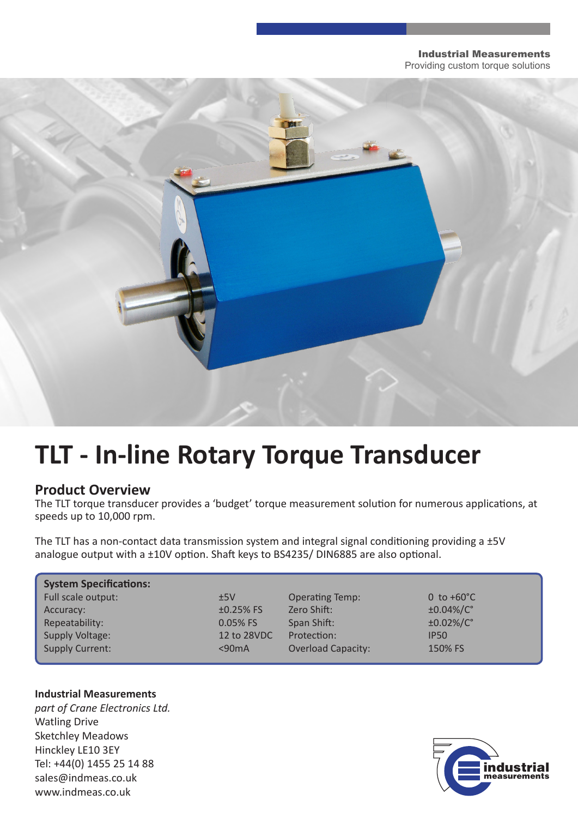#### Industrial Measurements Providing custom torque solutions



# **TLT - In-line Rotary Torque Transducer**

### **Product Overview**

The TLT torque transducer provides a 'budget' torque measurement solution for numerous applications, at speeds up to 10,000 rpm.

The TLT has a non-contact data transmission system and integral signal conditioning providing a ±5V analogue output with a ±10V option. Shaft keys to BS4235/ DIN6885 are also optional.

| <b>System Specifications:</b> |             |                           |                      |
|-------------------------------|-------------|---------------------------|----------------------|
| Full scale output:            | ±5V         | <b>Operating Temp:</b>    | 0 to $+60^{\circ}$ C |
| Accuracy:                     | $±0.25%$ FS | Zero Shift:               | ±0.04%/C°            |
| Repeatability:                | $0.05%$ FS  | Span Shift:               | ±0.02%/C°            |
| Supply Voltage:               | 12 to 28VDC | Protection:               | <b>IP50</b>          |
| <b>Supply Current:</b>        | < 90mA      | <b>Overload Capacity:</b> | 150% FS              |

#### **Industrial Measurements**

*part of Crane Electronics Ltd.* Watling Drive Sketchley Meadows Hinckley LE10 3EY Tel: +44(0) 1455 25 14 88 sales@indmeas.co.uk www.indmeas.co.uk